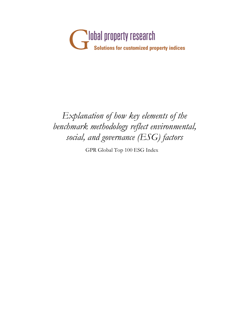

## *Explanation of how key elements of the benchmark methodology reflect environmental, social, and governance (ESG) factors*

GPR Global Top 100 ESG Index